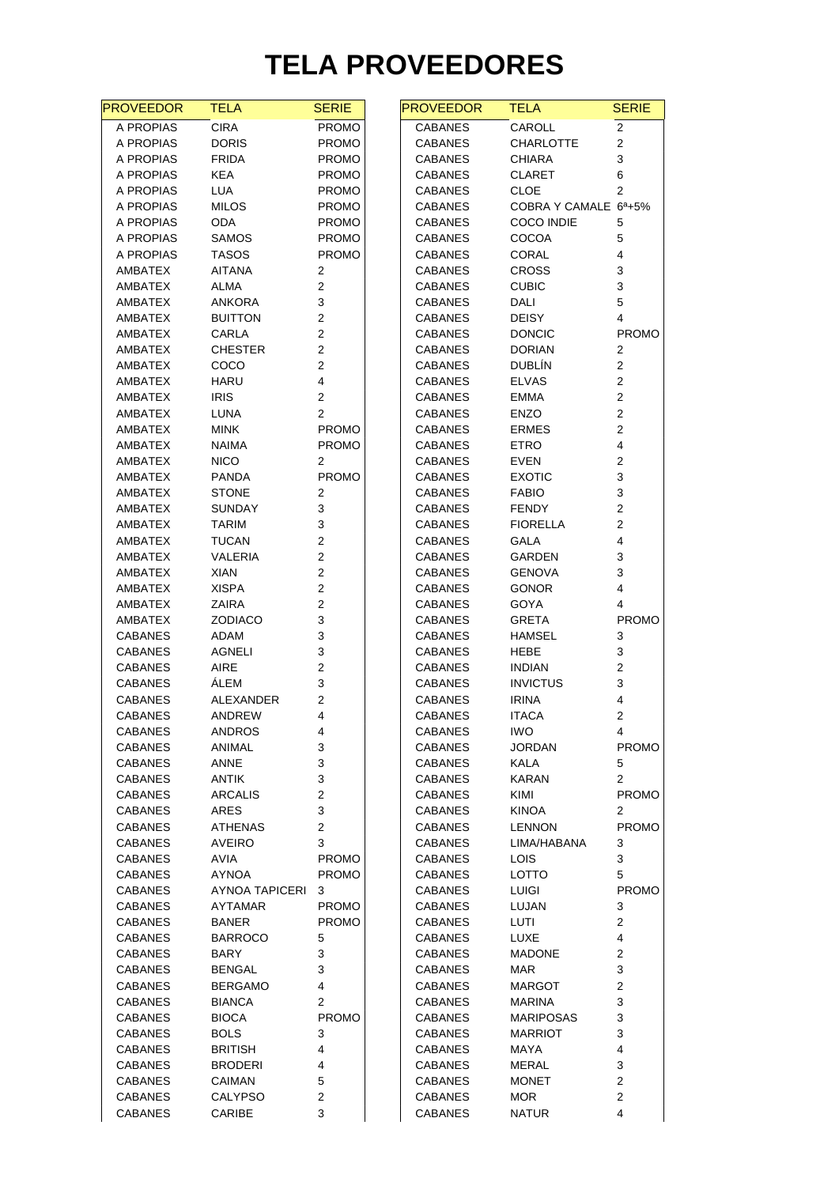## **TELA PROVEEDORES**

| <b>PROVEEDOR</b>                 | <b>TELA</b>             | <b>SERIE</b>            | <b>PROVEEDOR</b>   | <b>TELA</b>                       | <b>SERIE</b>                   |
|----------------------------------|-------------------------|-------------------------|--------------------|-----------------------------------|--------------------------------|
| A PROPIAS                        | <b>CIRA</b>             | <b>PROMO</b>            | <b>CABANES</b>     | CAROLL                            | $\overline{2}$                 |
| A PROPIAS                        | <b>DORIS</b>            | <b>PROMO</b>            | <b>CABANES</b>     | <b>CHARLOTTE</b>                  | $\overline{c}$                 |
| A PROPIAS                        | <b>FRIDA</b>            | <b>PROMO</b>            | <b>CABANES</b>     | <b>CHIARA</b>                     | 3                              |
| A PROPIAS                        | KEA                     | <b>PROMO</b>            | <b>CABANES</b>     | <b>CLARET</b>                     | 6                              |
| A PROPIAS                        | <b>LUA</b>              | <b>PROMO</b>            | <b>CABANES</b>     | <b>CLOE</b>                       | $\overline{2}$                 |
| A PROPIAS                        | <b>MILOS</b>            | <b>PROMO</b>            | CABANES            | COBRA Y CAMALE 6 <sup>a</sup> +5% |                                |
| A PROPIAS                        | ODA                     | <b>PROMO</b>            | <b>CABANES</b>     | <b>COCO INDIE</b>                 | 5                              |
| A PROPIAS                        | <b>SAMOS</b>            | <b>PROMO</b>            | CABANES            | COCOA                             | 5                              |
| A PROPIAS                        | <b>TASOS</b>            | <b>PROMO</b>            | <b>CABANES</b>     | CORAL                             | 4                              |
| AMBATEX                          | <b>AITANA</b>           | 2                       | <b>CABANES</b>     | <b>CROSS</b>                      | 3                              |
| AMBATEX                          | ALMA                    | 2                       | <b>CABANES</b>     | <b>CUBIC</b>                      | 3                              |
| AMBATEX                          | ANKORA                  | 3                       | <b>CABANES</b>     | DALI                              | 5                              |
| AMBATEX                          | <b>BUITTON</b>          | 2                       | CABANES            | <b>DEISY</b>                      | 4                              |
| AMBATEX                          | CARLA                   | 2                       | <b>CABANES</b>     | <b>DONCIC</b>                     | <b>PROMO</b>                   |
| AMBATEX                          | <b>CHESTER</b>          | 2                       | <b>CABANES</b>     | <b>DORIAN</b>                     | 2                              |
| AMBATEX                          | COCO                    | 2                       | CABANES            | <b>DUBLÍN</b>                     | $\overline{c}$                 |
| AMBATEX                          | <b>HARU</b>             | 4                       | CABANES            | <b>ELVAS</b>                      | $\overline{2}$                 |
| AMBATEX                          | <b>IRIS</b>             | 2                       | <b>CABANES</b>     | EMMA                              | $\overline{c}$                 |
| AMBATEX                          | LUNA                    | $\overline{2}$          | CABANES            | <b>ENZO</b>                       | $\overline{2}$                 |
| AMBATEX                          | <b>MINK</b>             | <b>PROMO</b>            | <b>CABANES</b>     | <b>ERMES</b>                      | $\overline{\mathbf{c}}$        |
| AMBATEX                          | <b>NAIMA</b>            | <b>PROMO</b>            | <b>CABANES</b>     | <b>ETRO</b>                       | 4                              |
| AMBATEX                          | <b>NICO</b>             | $\overline{2}$          | CABANES            | <b>EVEN</b>                       | $\overline{c}$                 |
| AMBATEX                          | <b>PANDA</b>            | <b>PROMO</b>            | CABANES            | <b>EXOTIC</b>                     | 3                              |
| AMBATEX                          | <b>STONE</b>            | 2                       | <b>CABANES</b>     | <b>FABIO</b>                      | 3                              |
| AMBATEX                          | SUNDAY                  | 3                       | CABANES            | <b>FENDY</b>                      | $\overline{c}$                 |
| AMBATEX                          | <b>TARIM</b>            | 3                       | CABANES            | <b>FIORELLA</b>                   | $\overline{2}$                 |
| AMBATEX                          | TUCAN                   | $\overline{\mathbf{c}}$ | CABANES            | GALA                              | 4                              |
| AMBATEX                          | VALERIA                 | $\overline{\mathbf{c}}$ | <b>CABANES</b>     | GARDEN                            | 3                              |
| AMBATEX                          | XIAN                    | $\overline{\mathbf{c}}$ | <b>CABANES</b>     | <b>GENOVA</b>                     | 3                              |
| AMBATEX                          | <b>XISPA</b>            | 2                       | <b>CABANES</b>     | <b>GONOR</b>                      | 4                              |
| AMBATEX                          | ZAIRA                   | 2                       | <b>CABANES</b>     | GOYA                              | 4                              |
| AMBATEX                          | ZODIACO                 | 3                       | <b>CABANES</b>     | GRETA                             | <b>PROMO</b>                   |
| <b>CABANES</b>                   | ADAM                    | 3                       | <b>CABANES</b>     | HAMSEL                            | 3                              |
| <b>CABANES</b>                   | AGNELI                  | 3                       | CABANES            | <b>HEBE</b>                       | 3                              |
| <b>CABANES</b>                   | AIRE                    | 2                       | <b>CABANES</b>     | <b>INDIAN</b>                     | $\overline{2}$                 |
| <b>CABANES</b>                   | <b>ALEM</b>             | 3                       | <b>CABANES</b>     | <b>INVICTUS</b>                   | 3                              |
| <b>CABANES</b>                   | ALEXANDER               | 2                       | <b>CABANES</b>     | <b>IRINA</b>                      | 4                              |
| <b>CABANES</b>                   | ANDREW                  | 4<br>$\lambda$          | <b>CABANES</b>     | <b>ITACA</b>                      | $\overline{c}$<br>4            |
| CABANES                          | ANDROS                  |                         | CABANES            | IWO                               |                                |
| <b>CABANES</b>                   | ANIMAL                  | 3                       | <b>CABANES</b>     | <b>JORDAN</b>                     | <b>PROMO</b>                   |
| <b>CABANES</b>                   | ANNE                    | 3                       | <b>CABANES</b>     | KALA                              | 5                              |
| <b>CABANES</b>                   | <b>ANTIK</b><br>ARCALIS | 3<br>2                  | <b>CABANES</b>     | KARAN<br>KIMI                     | $\overline{2}$<br><b>PROMO</b> |
| <b>CABANES</b><br><b>CABANES</b> | ARES                    | 3                       | CABANES<br>CABANES | <b>KINOA</b>                      | $\mathbf{2}$                   |
| <b>CABANES</b>                   | <b>ATHENAS</b>          | $\overline{2}$          | <b>CABANES</b>     | <b>LENNON</b>                     | <b>PROMO</b>                   |
| <b>CABANES</b>                   | AVEIRO                  | 3                       | <b>CABANES</b>     | LIMA/HABANA                       | 3                              |
| <b>CABANES</b>                   | AVIA                    | <b>PROMO</b>            | <b>CABANES</b>     | <b>LOIS</b>                       | 3                              |
| <b>CABANES</b>                   | AYNOA                   | <b>PROMO</b>            | CABANES            | LOTTO                             | 5                              |
| <b>CABANES</b>                   | AYNOA TAPICERI          | 3                       | <b>CABANES</b>     | <b>LUIGI</b>                      | <b>PROMO</b>                   |
| <b>CABANES</b>                   | AYTAMAR                 | <b>PROMO</b>            | CABANES            | LUJAN                             | 3                              |
| <b>CABANES</b>                   | <b>BANER</b>            | <b>PROMO</b>            | CABANES            | LUTI                              | $\overline{2}$                 |
| <b>CABANES</b>                   | <b>BARROCO</b>          | 5                       | <b>CABANES</b>     | LUXE                              | 4                              |
| <b>CABANES</b>                   | BARY                    | 3                       | <b>CABANES</b>     | <b>MADONE</b>                     | $\overline{c}$                 |
| <b>CABANES</b>                   | <b>BENGAL</b>           | 3                       | <b>CABANES</b>     | <b>MAR</b>                        | 3                              |
| <b>CABANES</b>                   | <b>BERGAMO</b>          | 4                       | <b>CABANES</b>     | <b>MARGOT</b>                     | 2                              |
| <b>CABANES</b>                   | <b>BIANCA</b>           | $\overline{2}$          | CABANES            | MARINA                            | 3                              |
| <b>CABANES</b>                   | <b>BIOCA</b>            | <b>PROMO</b>            | CABANES            | <b>MARIPOSAS</b>                  | 3                              |
| <b>CABANES</b>                   | <b>BOLS</b>             | 3                       | <b>CABANES</b>     | <b>MARRIOT</b>                    | 3                              |
| CABANES                          | <b>BRITISH</b>          | 4                       | CABANES            | MAYA                              |                                |
| <b>CABANES</b>                   | <b>BRODERI</b>          | 4                       | CABANES            | MERAL                             | 3                              |
| <b>CABANES</b>                   | CAIMAN                  | 5                       | <b>CABANES</b>     | <b>MONET</b>                      | $\overline{2}$                 |
| <b>CABANES</b>                   | CALYPSO                 | 2                       | <b>CABANES</b>     | <b>MOR</b>                        | $\overline{2}$                 |
| <b>CABANES</b>                   | CARIBE                  | 3                       | <b>CABANES</b>     | <b>NATUR</b>                      | 4                              |
|                                  |                         |                         |                    |                                   |                                |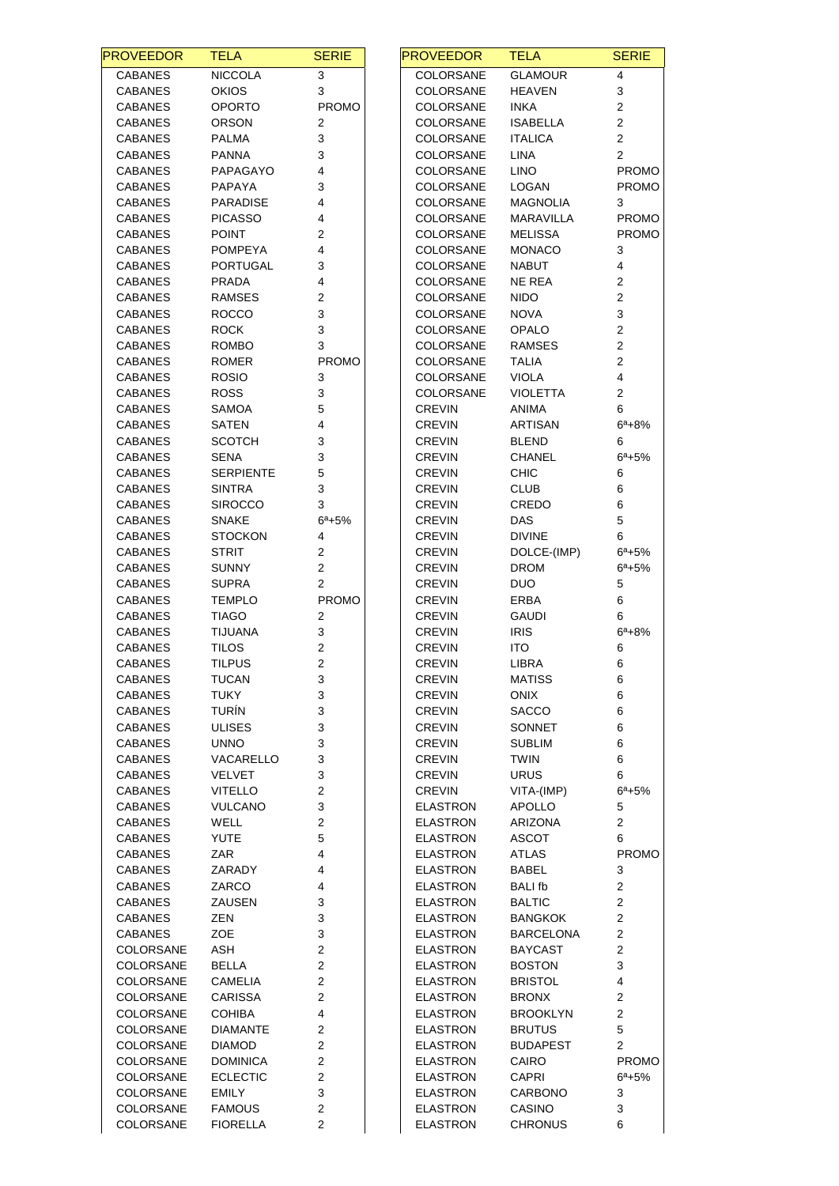| <b>PROVEEDOR</b>                 | <b>TELA</b>                  | <b>SERIE</b>                     | <b>PROVEEDOR</b>                   | <b>TELA</b>                   | <b>SERIE</b>        |
|----------------------------------|------------------------------|----------------------------------|------------------------------------|-------------------------------|---------------------|
| <b>CABANES</b>                   | <b>NICCOLA</b>               | 3                                | <b>COLORSANE</b>                   | <b>GLAMOUR</b>                | 4                   |
| <b>CABANES</b>                   | <b>OKIOS</b>                 | 3                                | COLORSANE                          | <b>HEAVEN</b>                 | 3                   |
| <b>CABANES</b>                   | <b>OPORTO</b>                | <b>PROMO</b>                     | COLORSANE                          | <b>INKA</b>                   | $\overline{c}$      |
| <b>CABANES</b>                   | <b>ORSON</b>                 | $\overline{c}$                   | COLORSANE                          | <b>ISABELLA</b>               | $\overline{2}$      |
| <b>CABANES</b>                   | <b>PALMA</b>                 | 3                                | COLORSANE                          | <b>ITALICA</b>                | $\overline{c}$      |
| <b>CABANES</b>                   | <b>PANNA</b>                 | 3                                | COLORSANE                          | <b>LINA</b>                   | $\overline{2}$      |
| <b>CABANES</b>                   | PAPAGAYO                     | 4                                | COLORSANE                          | <b>LINO</b>                   | <b>PROMO</b>        |
| <b>CABANES</b>                   | <b>PAPAYA</b>                | 3                                | COLORSANE                          | LOGAN                         | <b>PROMO</b>        |
| <b>CABANES</b>                   | <b>PARADISE</b>              | 4                                | COLORSANE                          | <b>MAGNOLIA</b>               | 3                   |
| <b>CABANES</b>                   | <b>PICASSO</b>               | 4                                | COLORSANE                          | MARAVILLA                     | <b>PROMO</b>        |
| <b>CABANES</b>                   | <b>POINT</b>                 | 2<br>4                           | COLORSANE<br>COLORSANE             | <b>MELISSA</b>                | <b>PROMO</b>        |
| <b>CABANES</b><br><b>CABANES</b> | <b>POMPEYA</b><br>PORTUGAL   | 3                                | COLORSANE                          | <b>MONACO</b><br><b>NABUT</b> | 3<br>4              |
| <b>CABANES</b>                   | PRADA                        | 4                                | COLORSANE                          | NE REA                        | 2                   |
| CABANES                          | <b>RAMSES</b>                | 2                                | COLORSANE                          | <b>NIDO</b>                   | 2                   |
| <b>CABANES</b>                   | <b>ROCCO</b>                 | 3                                | COLORSANE                          | <b>NOVA</b>                   | 3                   |
| <b>CABANES</b>                   | <b>ROCK</b>                  | 3                                | COLORSANE                          | <b>OPALO</b>                  | $\overline{2}$      |
| <b>CABANES</b>                   | <b>ROMBO</b>                 | 3                                | COLORSANE                          | <b>RAMSES</b>                 | $\overline{c}$      |
| <b>CABANES</b>                   | ROMER                        | <b>PROMO</b>                     | COLORSANE                          | <b>TALIA</b>                  | 2                   |
| <b>CABANES</b>                   | <b>ROSIO</b>                 | 3                                | COLORSANE                          | <b>VIOLA</b>                  | 4                   |
| <b>CABANES</b>                   | <b>ROSS</b>                  | 3                                | COLORSANE                          | <b>VIOLETTA</b>               | $\overline{2}$      |
| <b>CABANES</b>                   | <b>SAMOA</b>                 | 5                                | <b>CREVIN</b>                      | ANIMA                         | 6                   |
| <b>CABANES</b>                   | <b>SATEN</b>                 | 4                                | <b>CREVIN</b>                      | <b>ARTISAN</b>                | $6^a + 8%$          |
| <b>CABANES</b>                   | <b>SCOTCH</b>                | 3                                | <b>CREVIN</b>                      | <b>BLEND</b>                  | 6                   |
| <b>CABANES</b>                   | <b>SENA</b>                  | 3                                | <b>CREVIN</b>                      | <b>CHANEL</b>                 | $6^a + 5%$          |
| <b>CABANES</b>                   | <b>SERPIENTE</b>             | 5                                | <b>CREVIN</b>                      | <b>CHIC</b>                   | 6                   |
| <b>CABANES</b>                   | <b>SINTRA</b>                | 3                                | <b>CREVIN</b>                      | <b>CLUB</b>                   | 6                   |
| <b>CABANES</b>                   | <b>SIROCCO</b>               | 3                                | <b>CREVIN</b>                      | CREDO                         | 6                   |
| <b>CABANES</b>                   | <b>SNAKE</b>                 | $6^a + 5%$                       | <b>CREVIN</b>                      | DAS                           | 5                   |
| <b>CABANES</b>                   | <b>STOCKON</b>               | 4                                | <b>CREVIN</b>                      | <b>DIVINE</b>                 | 6                   |
| <b>CABANES</b>                   | <b>STRIT</b>                 | $\overline{c}$                   | <b>CREVIN</b>                      | DOLCE-(IMP)                   | $6^a + 5%$          |
| <b>CABANES</b><br><b>CABANES</b> | <b>SUNNY</b><br><b>SUPRA</b> | $\overline{c}$<br>$\overline{2}$ | <b>CREVIN</b><br><b>CREVIN</b>     | <b>DROM</b><br><b>DUO</b>     | $6^a + 5%$<br>5     |
| <b>CABANES</b>                   | <b>TEMPLO</b>                | <b>PROMO</b>                     | <b>CREVIN</b>                      | ERBA                          | 6                   |
| <b>CABANES</b>                   | <b>TIAGO</b>                 | $\overline{2}$                   | <b>CREVIN</b>                      | <b>GAUDI</b>                  | 6                   |
| <b>CABANES</b>                   | <b>TIJUANA</b>               | 3                                | <b>CREVIN</b>                      | <b>IRIS</b>                   | $6^a + 8%$          |
| <b>CABANES</b>                   | <b>TILOS</b>                 | $\overline{c}$                   | <b>CREVIN</b>                      | ITO                           | 6                   |
| <b>CABANES</b>                   | <b>TILPUS</b>                | $\overline{\mathbf{c}}$          | <b>CREVIN</b>                      | <b>LIBRA</b>                  | 6                   |
| CABANES                          | <b>TUCAN</b>                 | 3                                | CREVIN                             | <b>MATISS</b>                 | 6                   |
| <b>CABANES</b>                   | TUKY                         | 3                                | <b>CREVIN</b>                      | <b>ONIX</b>                   | 6                   |
| <b>CABANES</b>                   | TURÍN                        | 3                                | <b>CREVIN</b>                      | <b>SACCO</b>                  | 6                   |
| <b>CABANES</b>                   | <b>ULISES</b>                | 3                                | <b>CREVIN</b>                      | SONNET                        | 6                   |
| <b>CABANES</b>                   | <b>UNNO</b>                  | 3                                | CREVIN                             | <b>SUBLIM</b>                 | 6                   |
| <b>CABANES</b>                   | VACARELLO                    | 3                                | <b>CREVIN</b>                      | <b>TWIN</b>                   | 6                   |
| <b>CABANES</b>                   | VELVET                       | 3                                | <b>CREVIN</b>                      | <b>URUS</b>                   | 6                   |
| <b>CABANES</b>                   | <b>VITELLO</b>               | $\overline{c}$                   | <b>CREVIN</b>                      | VITA-(IMP)                    | $6^a + 5%$          |
| <b>CABANES</b>                   | <b>VULCANO</b>               | 3                                | <b>ELASTRON</b>                    | <b>APOLLO</b>                 | 5                   |
| <b>CABANES</b>                   | <b>WELL</b>                  | $\overline{\mathbf{c}}$          | <b>ELASTRON</b>                    | ARIZONA                       | $\overline{c}$      |
| <b>CABANES</b>                   | <b>YUTE</b>                  | 5<br>4                           | <b>ELASTRON</b><br><b>ELASTRON</b> | <b>ASCOT</b>                  | 6<br><b>PROMO</b>   |
| <b>CABANES</b>                   | ZAR                          | 4                                |                                    | <b>ATLAS</b><br><b>BABEL</b>  |                     |
| <b>CABANES</b><br><b>CABANES</b> | ZARADY<br>ZARCO              | 4                                | <b>ELASTRON</b><br><b>ELASTRON</b> | <b>BALI</b> fb                | 3<br>$\overline{c}$ |
| <b>CABANES</b>                   | ZAUSEN                       | 3                                | <b>ELASTRON</b>                    | <b>BALTIC</b>                 | 2                   |
| <b>CABANES</b>                   | ZEN                          | 3                                | <b>ELASTRON</b>                    | <b>BANGKOK</b>                | $\overline{c}$      |
| <b>CABANES</b>                   | ZOE                          | 3                                | <b>ELASTRON</b>                    | <b>BARCELONA</b>              | 2                   |
| <b>COLORSANE</b>                 | <b>ASH</b>                   | $\overline{\mathbf{c}}$          | <b>ELASTRON</b>                    | <b>BAYCAST</b>                | 2                   |
| COLORSANE                        | <b>BELLA</b>                 | $\overline{\mathbf{c}}$          | <b>ELASTRON</b>                    | <b>BOSTON</b>                 | 3                   |
| COLORSANE                        | <b>CAMELIA</b>               | $\overline{\mathbf{c}}$          | <b>ELASTRON</b>                    | <b>BRISTOL</b>                | 4                   |
| COLORSANE                        | <b>CARISSA</b>               | 2                                | <b>ELASTRON</b>                    | <b>BRONX</b>                  | 2                   |
| COLORSANE                        | <b>COHIBA</b>                | 4                                | <b>ELASTRON</b>                    | <b>BROOKLYN</b>               | $\overline{2}$      |
| COLORSANE                        | <b>DIAMANTE</b>              | $\overline{2}$                   | <b>ELASTRON</b>                    | <b>BRUTUS</b>                 | 5                   |
| COLORSANE                        | <b>DIAMOD</b>                | $\overline{2}$                   | <b>ELASTRON</b>                    | <b>BUDAPEST</b>               | $\overline{2}$      |
| COLORSANE                        | <b>DOMINICA</b>              | $\overline{\mathbf{c}}$          | <b>ELASTRON</b>                    | CAIRO                         | <b>PROMO</b>        |
| COLORSANE                        | <b>ECLECTIC</b>              | $\overline{c}$                   | <b>ELASTRON</b>                    | <b>CAPRI</b>                  | $6^a + 5%$          |
| COLORSANE                        | <b>EMILY</b>                 | 3                                | <b>ELASTRON</b>                    | CARBONO                       | 3                   |
| COLORSANE                        | <b>FAMOUS</b>                | 2                                | <b>ELASTRON</b>                    | CASINO                        | 3                   |
| COLORSANE                        | <b>FIORELLA</b>              | $\overline{\mathbf{c}}$          | <b>ELASTRON</b>                    | <b>CHRONUS</b>                | 6                   |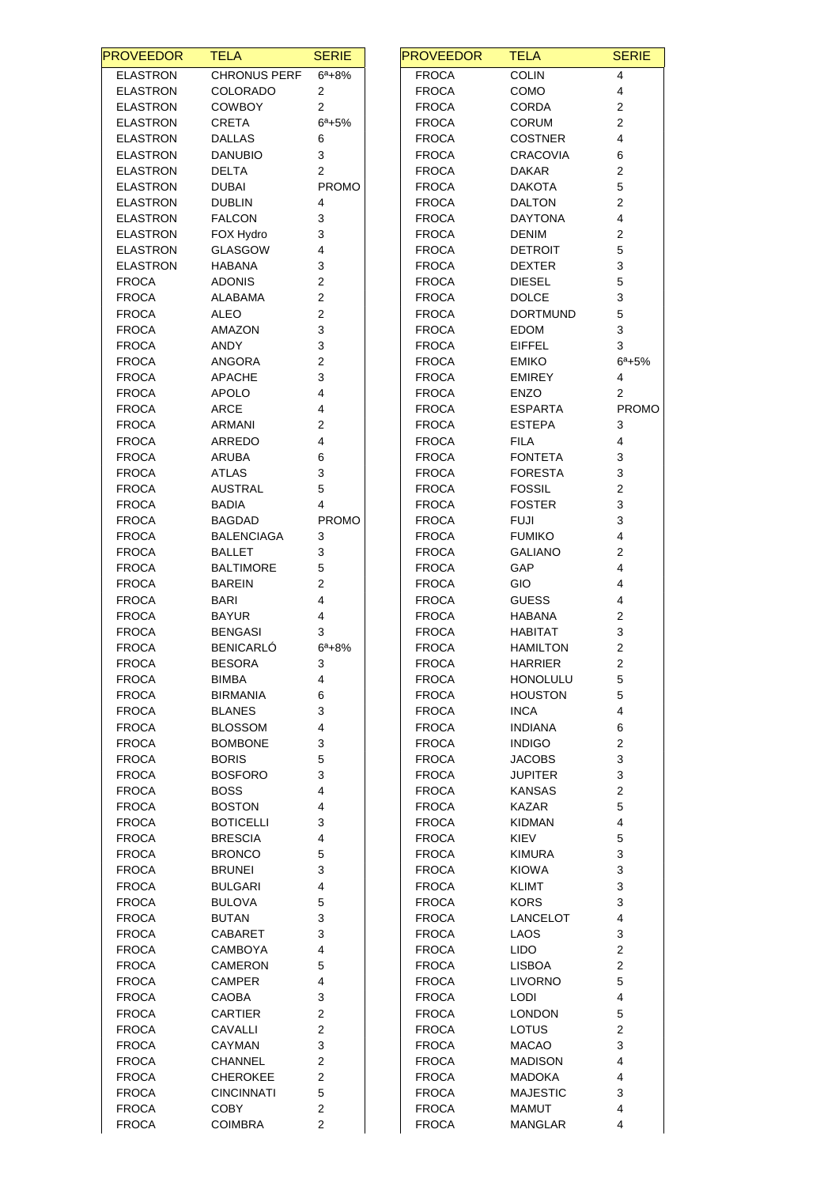| <b>PROVEEDOR</b> | <b>TELA</b>         | <b>SERIE</b>            | <b>PROVEEDOR</b> | <b>TELA</b>     | <b>SERIE</b>   |
|------------------|---------------------|-------------------------|------------------|-----------------|----------------|
| <b>ELASTRON</b>  | <b>CHRONUS PERF</b> | $6^a + 8%$              | <b>FROCA</b>     | <b>COLIN</b>    | 4              |
| <b>ELASTRON</b>  | <b>COLORADO</b>     | $\overline{2}$          | <b>FROCA</b>     | COMO            | 4              |
| <b>ELASTRON</b>  | <b>COWBOY</b>       | $\overline{2}$          | <b>FROCA</b>     | CORDA           | $\overline{c}$ |
| <b>ELASTRON</b>  | <b>CRETA</b>        | $6^a + 5%$              | <b>FROCA</b>     | <b>CORUM</b>    | $\overline{2}$ |
| <b>ELASTRON</b>  | <b>DALLAS</b>       | 6                       | <b>FROCA</b>     | <b>COSTNER</b>  | 4              |
| <b>ELASTRON</b>  | <b>DANUBIO</b>      | 3                       | <b>FROCA</b>     | <b>CRACOVIA</b> | 6              |
| <b>ELASTRON</b>  | <b>DELTA</b>        | $\overline{2}$          | <b>FROCA</b>     | <b>DAKAR</b>    | 2              |
| <b>ELASTRON</b>  | <b>DUBAI</b>        | <b>PROMO</b>            | <b>FROCA</b>     | <b>DAKOTA</b>   | 5              |
| <b>ELASTRON</b>  | <b>DUBLIN</b>       | 4                       | <b>FROCA</b>     | <b>DALTON</b>   | 2              |
| <b>ELASTRON</b>  | <b>FALCON</b>       | 3                       | <b>FROCA</b>     | <b>DAYTONA</b>  | 4              |
| <b>ELASTRON</b>  | FOX Hydro           | 3                       | <b>FROCA</b>     | <b>DENIM</b>    | 2              |
| <b>ELASTRON</b>  | <b>GLASGOW</b>      | 4                       | <b>FROCA</b>     | <b>DETROIT</b>  | 5              |
| <b>ELASTRON</b>  | HABANA              | 3                       | <b>FROCA</b>     | <b>DEXTER</b>   | 3              |
| <b>FROCA</b>     | <b>ADONIS</b>       | $\overline{2}$          | <b>FROCA</b>     | <b>DIESEL</b>   | 5              |
| <b>FROCA</b>     | ALABAMA             | $\overline{2}$          | <b>FROCA</b>     | <b>DOLCE</b>    | 3              |
| <b>FROCA</b>     | <b>ALEO</b>         | $\overline{\mathbf{c}}$ | <b>FROCA</b>     | <b>DORTMUND</b> | 5              |
| <b>FROCA</b>     | <b>AMAZON</b>       | 3                       | <b>FROCA</b>     | <b>EDOM</b>     | 3              |
| <b>FROCA</b>     | ANDY                | 3                       | <b>FROCA</b>     | <b>EIFFEL</b>   | 3              |
| <b>FROCA</b>     | ANGORA              | $\overline{2}$          | <b>FROCA</b>     | <b>EMIKO</b>    | $6^a + 5%$     |
| <b>FROCA</b>     | <b>APACHE</b>       | 3                       | <b>FROCA</b>     | <b>EMIREY</b>   | 4              |
| <b>FROCA</b>     | <b>APOLO</b>        | 4                       | <b>FROCA</b>     | ENZO            | $\overline{2}$ |
| <b>FROCA</b>     | ARCE                | 4                       | <b>FROCA</b>     | <b>ESPARTA</b>  | <b>PROMO</b>   |
| <b>FROCA</b>     | ARMANI              | $\overline{\mathbf{c}}$ | <b>FROCA</b>     | <b>ESTEPA</b>   | 3              |
| <b>FROCA</b>     | ARREDO              | 4                       | <b>FROCA</b>     | <b>FILA</b>     | 4              |
| <b>FROCA</b>     | ARUBA               | 6                       | <b>FROCA</b>     | <b>FONTETA</b>  | 3              |
| <b>FROCA</b>     | <b>ATLAS</b>        | 3                       | <b>FROCA</b>     | <b>FORESTA</b>  | 3              |
| <b>FROCA</b>     | <b>AUSTRAL</b>      | 5                       | <b>FROCA</b>     | <b>FOSSIL</b>   | 2              |
| <b>FROCA</b>     | <b>BADIA</b>        | 4                       | <b>FROCA</b>     | <b>FOSTER</b>   | 3              |
| <b>FROCA</b>     | <b>BAGDAD</b>       | <b>PROMO</b>            | <b>FROCA</b>     | <b>FUJI</b>     | 3              |
| <b>FROCA</b>     | <b>BALENCIAGA</b>   | 3                       | <b>FROCA</b>     | <b>FUMIKO</b>   | 4              |
| <b>FROCA</b>     | <b>BALLET</b>       | 3                       | <b>FROCA</b>     | <b>GALIANO</b>  | 2              |
| <b>FROCA</b>     | <b>BALTIMORE</b>    | 5                       | <b>FROCA</b>     | GAP             | 4              |
| <b>FROCA</b>     | <b>BAREIN</b>       | $\overline{2}$          | <b>FROCA</b>     | <b>GIO</b>      | 4              |
| <b>FROCA</b>     | <b>BARI</b>         | 4                       | <b>FROCA</b>     | <b>GUESS</b>    | 4              |
| <b>FROCA</b>     | <b>BAYUR</b>        | 4                       | <b>FROCA</b>     | <b>HABANA</b>   | 2              |
| <b>FROCA</b>     | <b>BENGASI</b>      | 3                       | <b>FROCA</b>     | <b>HABITAT</b>  | 3              |
| <b>FROCA</b>     | <b>BENICARLO</b>    | $6^{\circ}+8\%$         | <b>FROCA</b>     | <b>HAMILTON</b> | $\overline{2}$ |
| <b>FROCA</b>     | <b>BESORA</b>       | 3                       | <b>FROCA</b>     | <b>HARRIER</b>  | $\overline{2}$ |
| <b>FROCA</b>     | <b>BIMBA</b>        | 4                       | <b>FROCA</b>     | HONOLULU        | 5              |
| <b>FROCA</b>     | <b>BIRMANIA</b>     | 6                       | <b>FROCA</b>     | <b>HOUSTON</b>  | 5              |
| <b>FROCA</b>     | <b>BLANES</b>       | 3                       | <b>FROCA</b>     | <b>INCA</b>     | 4              |
| <b>FROCA</b>     | <b>BLOSSOM</b>      | 4                       | <b>FROCA</b>     | <b>INDIANA</b>  | 6              |
| <b>FROCA</b>     | <b>BOMBONE</b>      | 3                       | <b>FROCA</b>     | <b>INDIGO</b>   | 2              |
| <b>FROCA</b>     | <b>BORIS</b>        | 5                       | <b>FROCA</b>     | <b>JACOBS</b>   | 3              |
| <b>FROCA</b>     | <b>BOSFORO</b>      | 3                       | <b>FROCA</b>     | <b>JUPITER</b>  | 3              |
| <b>FROCA</b>     | <b>BOSS</b>         | 4                       | <b>FROCA</b>     | <b>KANSAS</b>   | 2              |
| <b>FROCA</b>     | <b>BOSTON</b>       | 4                       | <b>FROCA</b>     | <b>KAZAR</b>    | 5              |
| <b>FROCA</b>     | <b>BOTICELLI</b>    | 3                       | <b>FROCA</b>     | <b>KIDMAN</b>   | 4              |
| <b>FROCA</b>     | <b>BRESCIA</b>      | 4                       | <b>FROCA</b>     | KIEV            | 5              |
| <b>FROCA</b>     | <b>BRONCO</b>       | 5                       | <b>FROCA</b>     | <b>KIMURA</b>   | 3              |
| <b>FROCA</b>     | <b>BRUNEI</b>       | 3                       | <b>FROCA</b>     | <b>KIOWA</b>    | 3              |
| <b>FROCA</b>     | <b>BULGARI</b>      | 4                       | <b>FROCA</b>     | <b>KLIMT</b>    | 3              |
| <b>FROCA</b>     | <b>BULOVA</b>       | 5                       | <b>FROCA</b>     | <b>KORS</b>     | 3              |
| <b>FROCA</b>     | <b>BUTAN</b>        | 3                       | <b>FROCA</b>     | LANCELOT        | 4              |
| <b>FROCA</b>     | CABARET             | 3                       | <b>FROCA</b>     | LAOS            | 3              |
| <b>FROCA</b>     | CAMBOYA             | 4                       | <b>FROCA</b>     | <b>LIDO</b>     | 2              |
| <b>FROCA</b>     | CAMERON             | 5                       | <b>FROCA</b>     | <b>LISBOA</b>   | 2              |
| <b>FROCA</b>     | <b>CAMPER</b>       | 4                       | <b>FROCA</b>     | <b>LIVORNO</b>  | 5              |
| <b>FROCA</b>     | CAOBA               | 3                       | <b>FROCA</b>     | <b>LODI</b>     | 4              |
| <b>FROCA</b>     | <b>CARTIER</b>      | $\overline{c}$          | <b>FROCA</b>     | <b>LONDON</b>   | 5              |
| <b>FROCA</b>     | CAVALLI             | $\overline{\mathbf{c}}$ | <b>FROCA</b>     | LOTUS           | 2              |
| <b>FROCA</b>     | CAYMAN              | 3                       | <b>FROCA</b>     | <b>MACAO</b>    | 3              |
| <b>FROCA</b>     | <b>CHANNEL</b>      | $\overline{2}$          | <b>FROCA</b>     | <b>MADISON</b>  | 4              |
| <b>FROCA</b>     | <b>CHEROKEE</b>     | $\overline{\mathbf{c}}$ | <b>FROCA</b>     | <b>MADOKA</b>   | 4              |
| <b>FROCA</b>     | <b>CINCINNATI</b>   | 5                       | <b>FROCA</b>     | <b>MAJESTIC</b> | 3              |
| <b>FROCA</b>     | <b>COBY</b>         | $\overline{c}$          | <b>FROCA</b>     | <b>MAMUT</b>    | 4              |
| <b>FROCA</b>     | <b>COIMBRA</b>      | $\overline{c}$          | <b>FROCA</b>     | <b>MANGLAR</b>  | 4              |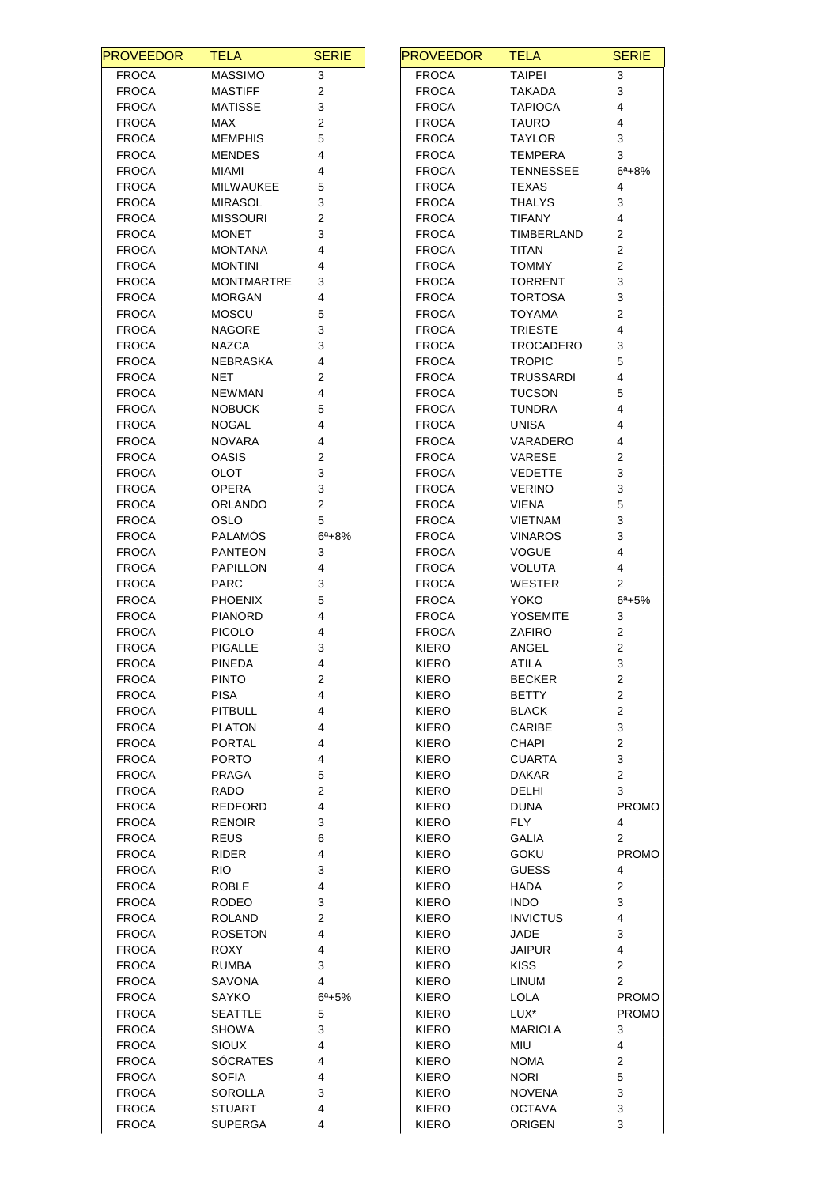| <b>PROVEEDOR</b>             | <b>TELA</b>                     | <b>SERIE</b>            | <b>PROVEEDOR</b>             | <b>TELA</b>                    | <b>SERIE</b>                   |
|------------------------------|---------------------------------|-------------------------|------------------------------|--------------------------------|--------------------------------|
| <b>FROCA</b>                 | <b>MASSIMO</b>                  | 3                       | <b>FROCA</b>                 | <b>TAIPEI</b>                  | 3                              |
| <b>FROCA</b>                 | <b>MASTIFF</b>                  | $\overline{c}$          | <b>FROCA</b>                 | <b>TAKADA</b>                  | 3                              |
| <b>FROCA</b>                 | <b>MATISSE</b>                  | 3                       | <b>FROCA</b>                 | <b>TAPIOCA</b>                 | 4                              |
| <b>FROCA</b>                 | MAX                             | $\overline{\mathbf{c}}$ | <b>FROCA</b>                 | <b>TAURO</b>                   | 4                              |
| <b>FROCA</b>                 | <b>MEMPHIS</b>                  | 5                       | <b>FROCA</b>                 | <b>TAYLOR</b>                  | 3                              |
| <b>FROCA</b>                 | <b>MENDES</b>                   | 4                       | <b>FROCA</b>                 | <b>TEMPERA</b>                 | 3                              |
| <b>FROCA</b>                 | MIAMI                           | 4                       | <b>FROCA</b>                 | <b>TENNESSEE</b>               | $6^a + 8%$                     |
| <b>FROCA</b>                 | <b>MILWAUKEE</b>                | 5                       | <b>FROCA</b>                 | <b>TEXAS</b>                   | 4                              |
| <b>FROCA</b>                 | <b>MIRASOL</b>                  | 3                       | <b>FROCA</b>                 | <b>THALYS</b>                  | 3                              |
| <b>FROCA</b>                 | <b>MISSOURI</b>                 | 2                       | <b>FROCA</b>                 | <b>TIFANY</b>                  | 4                              |
| <b>FROCA</b>                 | <b>MONET</b>                    | 3                       | <b>FROCA</b>                 | TIMBERLAND                     | 2                              |
| <b>FROCA</b>                 | <b>MONTANA</b>                  | 4                       | <b>FROCA</b>                 | <b>TITAN</b>                   | $\overline{2}$                 |
| <b>FROCA</b>                 | <b>MONTINI</b>                  | 4                       | <b>FROCA</b>                 | <b>TOMMY</b>                   | $\overline{c}$                 |
| <b>FROCA</b>                 | <b>MONTMARTRE</b>               | 3                       | <b>FROCA</b>                 | <b>TORRENT</b>                 | 3                              |
| <b>FROCA</b>                 | <b>MORGAN</b>                   | 4                       | <b>FROCA</b>                 | <b>TORTOSA</b>                 | 3                              |
| <b>FROCA</b>                 | <b>MOSCU</b>                    | 5                       | <b>FROCA</b>                 | <b>TOYAMA</b>                  | 2                              |
| <b>FROCA</b>                 | <b>NAGORE</b>                   | 3                       | <b>FROCA</b>                 | <b>TRIESTE</b>                 | 4                              |
| <b>FROCA</b>                 | <b>NAZCA</b>                    | 3                       | <b>FROCA</b>                 | <b>TROCADERO</b>               | 3                              |
| <b>FROCA</b>                 | NEBRASKA                        | 4                       | <b>FROCA</b>                 | <b>TROPIC</b>                  | 5                              |
| <b>FROCA</b>                 | NET                             | $\overline{2}$          | <b>FROCA</b>                 | TRUSSARDI                      | 4                              |
| <b>FROCA</b>                 | <b>NEWMAN</b>                   | 4                       | <b>FROCA</b>                 | <b>TUCSON</b>                  | 5                              |
| <b>FROCA</b>                 | <b>NOBUCK</b>                   | 5                       | <b>FROCA</b>                 | <b>TUNDRA</b>                  | 4                              |
| <b>FROCA</b>                 | <b>NOGAL</b>                    | 4                       | <b>FROCA</b>                 | UNISA                          | 4                              |
| <b>FROCA</b>                 | <b>NOVARA</b>                   | 4                       | <b>FROCA</b>                 | VARADERO                       | 4                              |
| <b>FROCA</b>                 | <b>OASIS</b>                    | $\overline{\mathbf{c}}$ | <b>FROCA</b>                 | VARESE                         | 2                              |
| <b>FROCA</b>                 | OLOT                            | 3                       | <b>FROCA</b>                 | <b>VEDETTE</b>                 | 3                              |
| <b>FROCA</b>                 | <b>OPERA</b>                    | 3                       | <b>FROCA</b>                 | <b>VERINO</b>                  | 3                              |
| <b>FROCA</b>                 | <b>ORLANDO</b>                  | $\overline{\mathbf{c}}$ | <b>FROCA</b>                 | <b>VIENA</b>                   | 5                              |
| <b>FROCA</b>                 | OSLO                            | 5                       | <b>FROCA</b>                 | VIETNAM                        | 3                              |
| <b>FROCA</b>                 | PALAMÓS                         | $6^a + 8%$              | <b>FROCA</b>                 | <b>VINAROS</b>                 | 3                              |
| <b>FROCA</b>                 | <b>PANTEON</b>                  | 3                       | <b>FROCA</b>                 | <b>VOGUE</b>                   | 4                              |
| <b>FROCA</b>                 | PAPILLON                        | 4                       | <b>FROCA</b>                 | <b>VOLUTA</b>                  | 4                              |
| <b>FROCA</b>                 | <b>PARC</b>                     | 3                       | <b>FROCA</b>                 | WESTER                         | 2                              |
| <b>FROCA</b>                 | <b>PHOENIX</b>                  | 5                       | <b>FROCA</b>                 | YOKO                           | $6^a + 5%$                     |
| <b>FROCA</b>                 | <b>PIANORD</b>                  | 4                       | <b>FROCA</b>                 | <b>YOSEMITE</b>                | 3                              |
| <b>FROCA</b>                 | <b>PICOLO</b>                   | 4                       | <b>FROCA</b>                 | ZAFIRO                         | $\overline{c}$                 |
| <b>FROCA</b>                 | <b>PIGALLE</b>                  | 3                       | KIERO                        | ANGEL                          | $\overline{2}$                 |
| <b>FROCA</b>                 | <b>PINEDA</b>                   | 4                       | <b>KIERO</b>                 | <b>ATILA</b>                   | 3                              |
| <b>FROCA</b>                 | <b>PINTO</b>                    | $\overline{z}$          | <b>KIERO</b>                 | <b>BECKER</b>                  | 2                              |
| <b>FROCA</b>                 | <b>PISA</b>                     | 4                       | <b>KIERO</b>                 | <b>BETTY</b>                   | $\overline{c}$                 |
| <b>FROCA</b>                 | <b>PITBULL</b>                  | 4                       | <b>KIERO</b>                 | <b>BLACK</b>                   | 2                              |
| <b>FROCA</b>                 | <b>PLATON</b>                   | 4                       | <b>KIERO</b>                 | CARIBE                         | 3                              |
| <b>FROCA</b>                 | <b>PORTAL</b>                   | 4                       | <b>KIERO</b>                 | <b>CHAPI</b>                   | $\overline{2}$                 |
| <b>FROCA</b>                 | <b>PORTO</b>                    | 4                       | <b>KIERO</b>                 | <b>CUARTA</b>                  | 3                              |
| <b>FROCA</b>                 | <b>PRAGA</b>                    | 5                       | <b>KIERO</b>                 | <b>DAKAR</b>                   | $\overline{c}$                 |
| <b>FROCA</b>                 | <b>RADO</b>                     | $\overline{\mathbf{c}}$ | <b>KIERO</b>                 | DELHI                          | 3                              |
| <b>FROCA</b>                 | <b>REDFORD</b>                  | 4                       | <b>KIERO</b>                 | <b>DUNA</b>                    | <b>PROMO</b>                   |
| <b>FROCA</b>                 | <b>RENOIR</b>                   | 3                       | <b>KIERO</b>                 | <b>FLY</b>                     | 4                              |
| <b>FROCA</b>                 | <b>REUS</b>                     | 6                       | <b>KIERO</b>                 | <b>GALIA</b>                   | $\overline{2}$<br><b>PROMO</b> |
| <b>FROCA</b>                 | <b>RIDER</b>                    | 4                       | <b>KIERO</b>                 | <b>GOKU</b>                    |                                |
| <b>FROCA</b>                 | <b>RIO</b>                      | 3                       | <b>KIERO</b>                 | <b>GUESS</b>                   | 4                              |
| <b>FROCA</b>                 | <b>ROBLE</b>                    | 4                       | <b>KIERO</b>                 | <b>HADA</b>                    | 2                              |
| <b>FROCA</b>                 | <b>RODEO</b>                    | 3                       | <b>KIERO</b>                 | <b>INDO</b>                    | 3<br>4                         |
| <b>FROCA</b>                 | <b>ROLAND</b>                   | $\overline{\mathbf{c}}$ | <b>KIERO</b>                 | <b>INVICTUS</b>                |                                |
| <b>FROCA</b>                 | <b>ROSETON</b>                  | 4                       | <b>KIERO</b>                 | <b>JADE</b>                    | 3                              |
| <b>FROCA</b>                 | <b>ROXY</b>                     | 4                       | <b>KIERO</b>                 | <b>JAIPUR</b>                  | 4                              |
| <b>FROCA</b>                 | <b>RUMBA</b>                    | 3                       | <b>KIERO</b>                 | <b>KISS</b>                    | $\overline{c}$                 |
| <b>FROCA</b><br><b>FROCA</b> | SAVONA<br>SAYKO                 | 4<br>$6^a + 5%$         | <b>KIERO</b><br><b>KIERO</b> | <b>LINUM</b><br><b>LOLA</b>    | $\overline{2}$<br><b>PROMO</b> |
|                              |                                 |                         |                              |                                | <b>PROMO</b>                   |
| <b>FROCA</b>                 | <b>SEATTLE</b>                  | 5                       | <b>KIERO</b>                 | LUX*                           |                                |
| <b>FROCA</b>                 | <b>SHOWA</b>                    | 3                       | <b>KIERO</b>                 | <b>MARIOLA</b><br><b>MIU</b>   | 3                              |
| <b>FROCA</b>                 | <b>SIOUX</b><br><b>SÓCRATES</b> | 4                       | <b>KIERO</b>                 |                                | 4                              |
| <b>FROCA</b>                 |                                 | 4<br>4                  | <b>KIERO</b>                 | <b>NOMA</b>                    | 2                              |
| <b>FROCA</b>                 | <b>SOFIA</b>                    |                         | <b>KIERO</b>                 | <b>NORI</b>                    | 5                              |
| <b>FROCA</b><br><b>FROCA</b> | <b>SOROLLA</b><br><b>STUART</b> | 3                       | <b>KIERO</b><br><b>KIERO</b> | <b>NOVENA</b><br><b>OCTAVA</b> | 3<br>$\sqrt{3}$                |
| <b>FROCA</b>                 | <b>SUPERGA</b>                  | 4<br>4                  | <b>KIERO</b>                 | ORIGEN                         | 3                              |
|                              |                                 |                         |                              |                                |                                |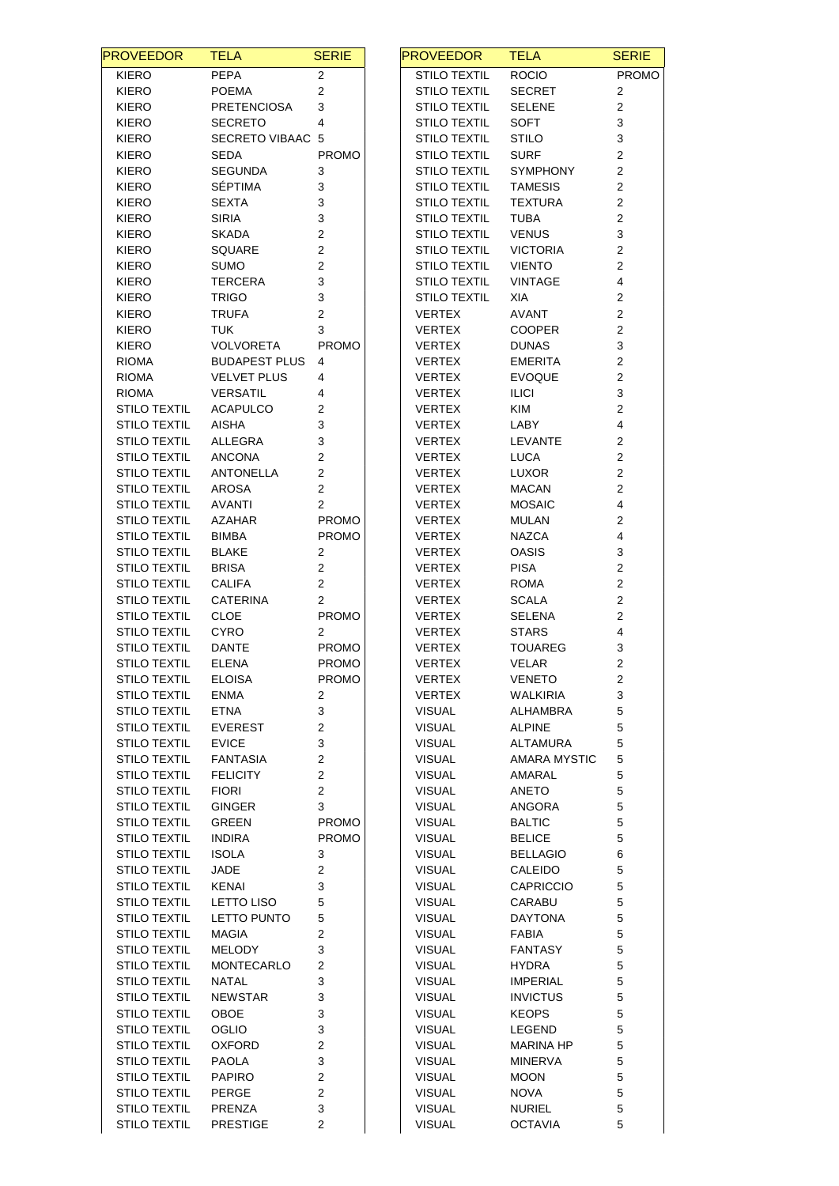| <b>PROVEEDOR</b>                           | <b>TELA</b>                  | <b>SERIE</b>                     | <b>PROVEEDOR</b>                           | <b>TELA</b>                      | <b>SERIE</b> |
|--------------------------------------------|------------------------------|----------------------------------|--------------------------------------------|----------------------------------|--------------|
| KIERO                                      | <b>PEPA</b>                  | $\overline{2}$                   | <b>STILO TEXTIL</b>                        | <b>ROCIO</b>                     | <b>PROMO</b> |
| KIERO                                      | <b>POEMA</b>                 | $\overline{2}$                   | <b>STILO TEXTIL</b>                        | <b>SECRET</b>                    | 2            |
| <b>KIERO</b>                               | <b>PRETENCIOSA</b>           | 3                                | <b>STILO TEXTIL</b>                        | <b>SELENE</b>                    | 2            |
| <b>KIERO</b>                               | <b>SECRETO</b>               | 4                                | <b>STILO TEXTIL</b>                        | <b>SOFT</b>                      | 3            |
| <b>KIERO</b>                               | SECRETO VIBAAC 5             |                                  | <b>STILO TEXTIL</b>                        | <b>STILO</b>                     | 3            |
| <b>KIERO</b>                               | <b>SEDA</b>                  | <b>PROMO</b>                     | <b>STILO TEXTIL</b>                        | <b>SURF</b>                      | 2            |
| <b>KIERO</b>                               | <b>SEGUNDA</b>               | 3                                | <b>STILO TEXTIL</b>                        | <b>SYMPHONY</b>                  | 2            |
| <b>KIERO</b>                               | <b>SÉPTIMA</b>               | 3                                | <b>STILO TEXTIL</b>                        | <b>TAMESIS</b>                   | 2            |
| <b>KIERO</b>                               | <b>SEXTA</b>                 | 3                                | <b>STILO TEXTIL</b>                        | <b>TEXTURA</b>                   | 2            |
| <b>KIERO</b>                               | <b>SIRIA</b>                 | 3                                | <b>STILO TEXTIL</b>                        | <b>TUBA</b>                      | 2            |
| <b>KIERO</b>                               | <b>SKADA</b>                 | 2                                | <b>STILO TEXTIL</b>                        | <b>VENUS</b>                     | 3<br>2       |
| KIERO<br><b>KIERO</b>                      | SQUARE<br><b>SUMO</b>        | 2<br>2                           | <b>STILO TEXTIL</b><br><b>STILO TEXTIL</b> | <b>VICTORIA</b><br><b>VIENTO</b> | 2            |
| <b>KIERO</b>                               | <b>TERCERA</b>               | 3                                | <b>STILO TEXTIL</b>                        | <b>VINTAGE</b>                   | 4            |
| <b>KIERO</b>                               | <b>TRIGO</b>                 | 3                                | <b>STILO TEXTIL</b>                        | XIA                              | 2            |
| <b>KIERO</b>                               | <b>TRUFA</b>                 | 2                                | <b>VERTEX</b>                              | <b>AVANT</b>                     | 2            |
| <b>KIERO</b>                               | <b>TUK</b>                   | 3                                | <b>VERTEX</b>                              | <b>COOPER</b>                    | 2            |
| <b>KIERO</b>                               | VOLVORETA                    | <b>PROMO</b>                     | <b>VERTEX</b>                              | <b>DUNAS</b>                     | 3            |
| <b>RIOMA</b>                               | <b>BUDAPEST PLUS</b>         | 4                                | <b>VERTEX</b>                              | <b>EMERITA</b>                   | 2            |
| <b>RIOMA</b>                               | <b>VELVET PLUS</b>           | 4                                | <b>VERTEX</b>                              | <b>EVOQUE</b>                    | 2            |
| <b>RIOMA</b>                               | <b>VERSATIL</b>              | 4                                | <b>VERTEX</b>                              | <b>ILICI</b>                     | 3            |
| <b>STILO TEXTIL</b>                        | <b>ACAPULCO</b>              | 2                                | <b>VERTEX</b>                              | KIM                              | 2            |
| <b>STILO TEXTIL</b>                        | <b>AISHA</b>                 | 3                                | <b>VERTEX</b>                              | LABY                             | 4            |
| <b>STILO TEXTIL</b>                        | ALLEGRA                      | 3                                | <b>VERTEX</b>                              | LEVANTE                          | 2            |
| <b>STILO TEXTIL</b>                        | <b>ANCONA</b>                | 2                                | <b>VERTEX</b>                              | <b>LUCA</b>                      | 2            |
| <b>STILO TEXTIL</b>                        | ANTONELLA                    | $\overline{2}$                   | <b>VERTEX</b>                              | <b>LUXOR</b>                     | 2            |
| <b>STILO TEXTIL</b>                        | AROSA                        | $\overline{2}$                   | <b>VERTEX</b>                              | <b>MACAN</b>                     | 2            |
| <b>STILO TEXTIL</b>                        | AVANTI                       | 2                                | <b>VERTEX</b>                              | <b>MOSAIC</b>                    | 4            |
| <b>STILO TEXTIL</b>                        | <b>AZAHAR</b>                | <b>PROMO</b>                     | VERTEX                                     | <b>MULAN</b>                     | 2            |
| <b>STILO TEXTIL</b>                        | <b>BIMBA</b>                 | <b>PROMO</b>                     | VERTEX                                     | <b>NAZCA</b>                     | 4            |
| <b>STILO TEXTIL</b><br><b>STILO TEXTIL</b> | <b>BLAKE</b><br><b>BRISA</b> | $\overline{2}$<br>$\overline{c}$ | VERTEX<br><b>VERTEX</b>                    | <b>OASIS</b><br><b>PISA</b>      | 3<br>2       |
| <b>STILO TEXTIL</b>                        | <b>CALIFA</b>                | 2                                | <b>VERTEX</b>                              | <b>ROMA</b>                      | 2            |
| <b>STILO TEXTIL</b>                        | <b>CATERINA</b>              | $\overline{2}$                   | <b>VERTEX</b>                              | <b>SCALA</b>                     | 2            |
| <b>STILO TEXTIL</b>                        | <b>CLOE</b>                  | PROMO                            | <b>VERTEX</b>                              | <b>SELENA</b>                    | 2            |
| <b>STILO TEXTIL</b>                        | CYRO                         | 2                                | <b>VERTEX</b>                              | <b>STARS</b>                     | 4            |
| <b>STILO TEXTIL</b>                        | DANTE                        | PROMO                            | <b>VERTEX</b>                              | <b>TOUAREG</b>                   | 3            |
| <b>STILO TEXTIL</b>                        | ELENA                        | <b>PROMO</b>                     | <b>VERTEX</b>                              | VELAR                            | 2            |
| STILO TEXTIL                               | <b>ELOISA</b>                | PROMO                            | VERTEX                                     | VENETO                           | 2            |
| <b>STILO TEXTIL</b>                        | <b>ENMA</b>                  | 2                                | <b>VERTEX</b>                              | WALKIRIA                         | 3            |
| <b>STILO TEXTIL</b>                        | <b>ETNA</b>                  | 3                                | <b>VISUAL</b>                              | ALHAMBRA                         | 5            |
| <b>STILO TEXTIL</b>                        | <b>EVEREST</b>               | 2                                | <b>VISUAL</b>                              | <b>ALPINE</b>                    | 5            |
| <b>STILO TEXTIL</b>                        | <b>EVICE</b>                 | 3                                | <b>VISUAL</b>                              | ALTAMURA                         | 5            |
| <b>STILO TEXTIL</b>                        | <b>FANTASIA</b>              | 2                                | <b>VISUAL</b>                              | <b>AMARA MYSTIC</b>              | 5            |
| <b>STILO TEXTIL</b>                        | <b>FELICITY</b>              | 2                                | <b>VISUAL</b>                              | AMARAL                           | 5            |
| <b>STILO TEXTIL</b>                        | <b>FIORI</b>                 | $\overline{c}$                   | <b>VISUAL</b>                              | ANETO                            | 5            |
| <b>STILO TEXTIL</b>                        | <b>GINGER</b>                | 3                                | <b>VISUAL</b>                              | ANGORA                           | 5            |
| <b>STILO TEXTIL</b><br><b>STILO TEXTIL</b> | GREEN<br><b>INDIRA</b>       | <b>PROMO</b><br><b>PROMO</b>     | <b>VISUAL</b><br><b>VISUAL</b>             | <b>BALTIC</b><br><b>BELICE</b>   | 5<br>5       |
| <b>STILO TEXTIL</b>                        | <b>ISOLA</b>                 | 3                                | <b>VISUAL</b>                              | <b>BELLAGIO</b>                  | 6            |
| <b>STILO TEXTIL</b>                        | <b>JADE</b>                  | 2                                | <b>VISUAL</b>                              | CALEIDO                          | 5            |
| <b>STILO TEXTIL</b>                        | KENAI                        | 3                                | <b>VISUAL</b>                              | <b>CAPRICCIO</b>                 | 5            |
| <b>STILO TEXTIL</b>                        | LETTO LISO                   | 5                                | <b>VISUAL</b>                              | CARABU                           | 5            |
| <b>STILO TEXTIL</b>                        | LETTO PUNTO                  | 5                                | <b>VISUAL</b>                              | DAYTONA                          | 5            |
| <b>STILO TEXTIL</b>                        | <b>MAGIA</b>                 | 2                                | <b>VISUAL</b>                              | <b>FABIA</b>                     | 5            |
| <b>STILO TEXTIL</b>                        | <b>MELODY</b>                | 3                                | <b>VISUAL</b>                              | <b>FANTASY</b>                   | 5            |
| <b>STILO TEXTIL</b>                        | MONTECARLO                   | 2                                | <b>VISUAL</b>                              | HYDRA                            | 5            |
| <b>STILO TEXTIL</b>                        | NATAL                        | 3                                | <b>VISUAL</b>                              | <b>IMPERIAL</b>                  | 5            |
| <b>STILO TEXTIL</b>                        | <b>NEWSTAR</b>               | 3                                | <b>VISUAL</b>                              | <b>INVICTUS</b>                  | 5            |
| <b>STILO TEXTIL</b>                        | OBOE                         | 3                                | <b>VISUAL</b>                              | <b>KEOPS</b>                     | 5            |
| <b>STILO TEXTIL</b>                        | <b>OGLIO</b>                 | 3                                | <b>VISUAL</b>                              | LEGEND                           | 5            |
| <b>STILO TEXTIL</b>                        | <b>OXFORD</b>                | 2                                | <b>VISUAL</b>                              | MARINA HP                        | 5            |
| <b>STILO TEXTIL</b>                        | <b>PAOLA</b>                 | 3                                | <b>VISUAL</b>                              | <b>MINERVA</b>                   | 5            |
| <b>STILO TEXTIL</b>                        | <b>PAPIRO</b>                | $\overline{\mathbf{c}}$          | <b>VISUAL</b>                              | <b>MOON</b>                      | 5            |
| <b>STILO TEXTIL</b>                        | PERGE                        | $\overline{\mathbf{c}}$          | <b>VISUAL</b>                              | <b>NOVA</b>                      | 5            |
| <b>STILO TEXTIL</b>                        | PRENZA                       | 3                                | <b>VISUAL</b>                              | <b>NURIEL</b>                    | 5            |
| <b>STILO TEXTIL</b>                        | <b>PRESTIGE</b>              | 2                                | <b>VISUAL</b>                              | <b>OCTAVIA</b>                   | 5            |